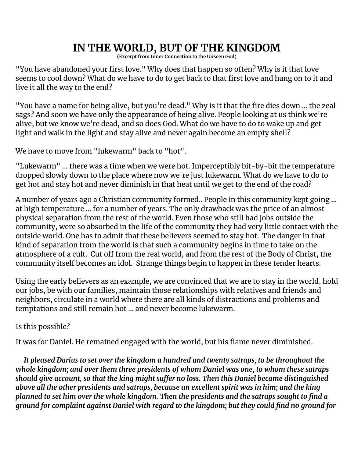# **IN THE WORLD, BUT OF THE KINGDOM**

**(Excerpt from Inner Connection to the Unseen God)**

"You have abandoned your first love." Why does that happen so often? Why is it that love seems to cool down? What do we have to do to get back to that first love and hang on to it and live it all the way to the end?

"You have a name for being alive, but you're dead." Why is it that the fire dies down ... the zeal sags? And soon we have only the appearance of being alive. People looking at us think we're alive, but we know we're dead, and so does God. What do we have to do to wake up and get light and walk in the light and stay alive and never again become an empty shell?

We have to move from "lukewarm" back to "hot".

"Lukewarm" … there was a time when we were hot. Imperceptibly bit-by-bit the temperature dropped slowly down to the place where now we're just lukewarm. What do we have to do to get hot and stay hot and never diminish in that heat until we get to the end of the road?

A number of years ago a Christian community formed.. People in this community kept going ... at high temperature ... for a number of years. The only drawback was the price of an almost physical separation from the rest of the world. Even those who still had jobs outside the community, were so absorbed in the life of the community they had very little contact with the outside world. One has to admit that these believers seemed to stay hot. The danger in that kind of separation from the world is that such a community begins in time to take on the atmosphere of a cult. Cut off from the real world, and from the rest of the Body of Christ, the community itself becomes an idol. Strange things begin to happen in these tender hearts.

Using the early believers as an example, we are convinced that we are to stay in the world, hold our jobs, be with our families, maintain those relationships with relatives and friends and neighbors, circulate in a world where there are all kinds of distractions and problems and temptations and still remain hot ... and never become lukewarm.

Is this possible?

It was for Daniel. He remained engaged with the world, but his flame never diminished.

*It pleased Darius to set over the kingdom a hundred and twenty satraps, to be throughout the whole kingdom; and over them three presidents of whom Daniel was one, to whom these satraps should give account, so that the king might suffer no loss. Then this Daniel became distinguished above all the other presidents and satraps, because an excellent spirit was in him; and the king planned to set him over the whole kingdom. Then the presidents and the satraps sought to find a ground for complaint against Daniel with regard to the kingdom; but they could find no ground for*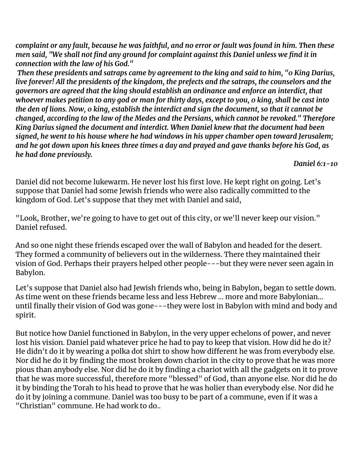complaint or any fault, because he was faithful, and no error or fault was found in him. Then these *men said, "We shall not find any ground for complaint against this Daniel unless we find it in connection with the law of his God."*

*Then these presidents and satraps came by agreement to the king and said to him, "0 King Darius, live forever! All the presidents of the kingdom, the prefects and the satraps, the counselors and the governors are agreed that the king should establish an ordinance and enforce an interdict, that* whoever makes petition to any god or man for thirty days, except to you, o king, shall be cast into the den of lions. Now, o king, establish the interdict and sign the document, so that it cannot be *changed, according to the law of the Medes and the Persians, which cannot be revoked." Therefore King Darius signed the document and interdict. When Daniel knew that the document had been signed, he went to his house where he had windows in his upper chamber open toward Jerusalem;* and he got down upon his knees three times a day and prayed and gave thanks before his God, as *he had done previously.*

*Daniel 6:1-10*

Daniel did not become lukewarm. He never lost his first love. He kept right on going. Let's suppose that Daniel had some Jewish friends who were also radically committed to the kingdom of God. Let's suppose that they met with Daniel and said,

"Look, Brother, we're going to have to get out of this city, or we'll never keep our vision." Daniel refused.

And so one night these friends escaped over the wall of Babylon and headed for the desert. They formed a community of believers out in the wilderness. There they maintained their vision of God. Perhaps their prayers helped other people---but they were never seen again in Babylon.

Let's suppose that Daniel also had Jewish friends who, being in Babylon, began to settle down. As time went on these friends became less and less Hebrew ... more and more Babylonian... until finally their vision of God was gone---they were lost in Babylon with mind and body and spirit.

But notice how Daniel functioned in Babylon, in the very upper echelons of power, and never lost his vision. Daniel paid whatever price he had to pay to keep that vision. How did he do it? He didn't do it by wearing a polka dot shirt to show how different he was from everybody else. Nor did he do it by finding the most broken down chariot in the city to prove that he was more pious than anybody else. Nor did he do it by finding a chariot with all the gadgets on it to prove that he was more successful, therefore more "blessed" of God, than anyone else. Nor did he do it by binding the Torah to his head to prove that he was holier than everybody else. Nor did he do it by joining a commune. Daniel was too busy to be part of a commune, even if it was a "Christian" commune. He had work to do..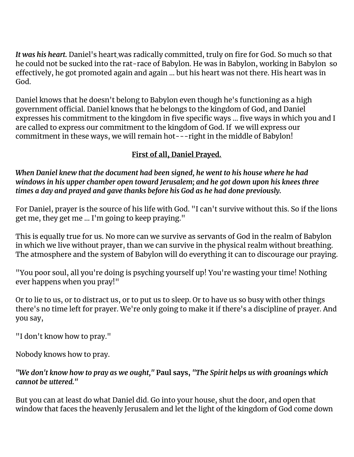*It was his heart.* Daniel's heart was radically committed, truly on fire for God. So much so that he could not be sucked into the rat-race of Babylon. He was in Babylon, working in Babylon so effectively, he got promoted again and again ... but his heart was not there. His heart was in God.

Daniel knows that he doesn't belong to Babylon even though he's functioning as a high government official. Daniel knows that he belongs to the kingdom of God, and Daniel expresses his commitment to the kingdom in five specific ways ... five ways in which you and I are called to express our commitment to the kingdom of God. If we will express our commitment in these ways, we will remain hot---right in the middle of Babylon!

# **First of all, Daniel Prayed.**

*When Daniel knew that the document had been signed, he went to his house where he had windows in his upper chamber open toward Jerusalem; and he got down upon his knees three times a day and prayed and gave thanks before his God as he had done previously.*

For Daniel, prayer is the source of his life with God. "I can't survive without this. So if the lions get me, they get me ... I'm going to keep praying."

This is equally true for us. No more can we survive as servants of God in the realm of Babylon in which we live without prayer, than we can survive in the physical realm without breathing. The atmosphere and the system of Babylon will do everything it can to discourage our praying.

"You poor soul, all you're doing is psyching yourself up! You're wasting your time! Nothing ever happens when you pray!"

Or to lie to us, or to distract us, or to put us to sleep. Or to have us so busy with other things there's no time left for prayer. We're only going to make it if there's a discipline of prayer. And you say,

"I don't know how to pray."

Nobody knows how to pray.

#### *"We don't know how to pray as we ought,"* **Paul says,** *"The Spirit helps us with groanings which cannot be uttered."*

But you can at least do what Daniel did. Go into your house, shut the door, and open that window that faces the heavenly Jerusalem and let the light of the kingdom of God come down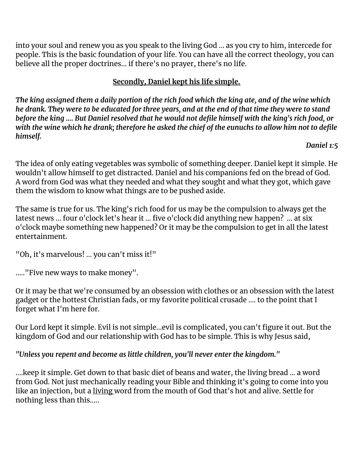into your soul and renew you as you speak to the living God ... as you cry to him, intercede for people. This is the basic foundation of your life. You can have all the correct theology, you can believe all the proper doctrines... if there's no prayer, there's no life.

# **Secondly, Daniel kept his life simple.**

The king assigned them a daily portion of the rich food which the king ate, and of the wine which he drank. They were to [be](http://to.be/) educated for three years, and at the end of that time they were to stand before the king .... But Daniel resolved that he would not defile himself with the king's rich food, or with the wine which he drank; therefore he asked the chief of the eunuchs to allow him not to defile *himself.*

*Daniel 1:5*

The idea of only eating vegetables was symbolic of something deeper. Daniel kept it simple. He wouldn't allow himself to get distracted. Daniel and his companions fed on the bread of God. A word from God was what they needed and what they sought and what they got, which gave them the wisdom to know what things are to be pushed aside.

The same is true for us. The king's rich food for us may be the compulsion to always get the latest news ... four o'clock let's hear it ... five o'clock did anything new happen? ... at six o'clock maybe something new happened? Or it may be the compulsion to get in all the latest entertainment.

"Oh, it's marvelous! ... you can't miss it!"

....."Five new ways to make money".

Or it may be that we're consumed by an obsession with clothes or an obsession with the latest gadget or the hottest Christian fads, or my favorite political crusade .... to the point that I forget what I'm here for.

Our Lord kept it simple. Evil is not simple...evil is complicated, you can't figure it out. But the kingdom of God and our relationship with God has to be simple. This is why Jesus said,

## *"Unless you repent and become as little children, you'll never enter the kingdom."*

....keep it simple. Get down to that basic diet of beans and water, the living bread ... a word from God. Not just mechanically reading your Bible and thinking it's going to come into you like an injection, but a living word from the mouth of God that's hot and alive. Settle for nothing less than this.....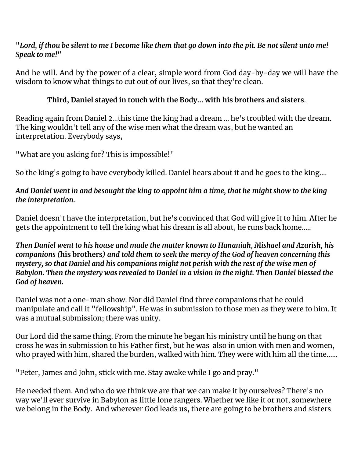"Lord, if thou be silent to me I become like them that go down into the pit. Be not silent unto me! *Speak to me!"*

And he will. And by the power of a clear, simple word from God day-by-day we will have the wisdom to know what things to cut out of our lives, so that they're clean.

#### **Third, Daniel stayed in touch with the Body... with his brothers and sisters**.

Reading again from Daniel 2...this time the king had a dream ... he's troubled with the dream. The king wouldn't tell any of the wise men what the dream was, but he wanted an interpretation. Everybody says,

"What are you asking for? This is impossible!"

So the king's going to have everybody killed. Daniel hears about it and he goes to the king....

#### And Daniel went in and besought the king to appoint him a time, that he might show to the king *the interpretation.*

Daniel doesn't have the interpretation, but he's convinced that God will give it to him. After he gets the appointment to tell the king what his dream is all about, he runs back home.....

*Then Daniel went to his house and made the matter known to Hananiah, Mishael and Azarish, his* companions (his brothers) and told them to seek the mercy of the God of heaven concerning this *mystery, so that Daniel and his companions might not perish with the rest of the wise men of Babylon. Then the mystery was revealed to Daniel in a vision in the night. Then Daniel blessed the God of heaven.*

Daniel was not a one-man show. Nor did Daniel find three companions that he could manipulate and call it "fellowship". He was in submission to those men as they were to him. It was a mutual submission; there was unity.

Our Lord did the same thing. From the minute he began his ministry until he hung on that cross he was in submission to his Father first, but he was also in union with men and women, who prayed with him, shared the burden, walked with him. They were with him all the time......

"Peter, James and John, stick with me. Stay awake while I go and pray."

He needed them. And who do we think we are that we can make it by ourselves? There's no way we'll ever survive in Babylon as little lone rangers. Whether we like it or not, somewhere we belong in the Body. And wherever God leads us, there are going to be brothers and sisters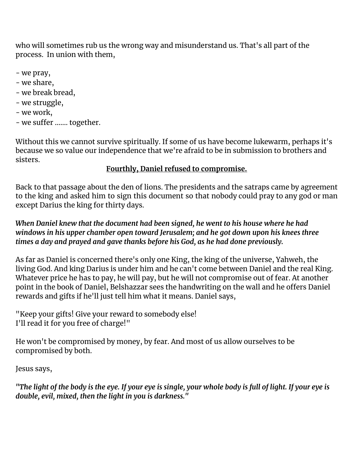who will sometimes rub us the wrong way and misunderstand us. That's all part of the process. In union with them,

- we pray,
- we share,
- we break bread,
- we struggle,
- we work,
- we suffer ....... together.

Without this we cannot survive spiritually. If some of us have become lukewarm, perhaps it's because we so value our independence that we're afraid to be in submission to brothers and sisters.

## **Fourthly, Daniel refused to compromise.**

Back to that passage about the den of lions. The presidents and the satraps came by agreement to the king and asked him to sign this document so that nobody could pray to any god or man except Darius the king for thirty days.

*When Daniel knew that the document had been signed, he went to his house where he had windows in his upper chamber open toward Jerusalem; and he got down upon his knees three times a day and prayed and gave thanks before his God, as he had done previously.*

As far as Daniel is concerned there's only one King, the king of the universe, Yahweh, the living God. And king Darius is under him and he can't come between Daniel and the real King. Whatever price he has to pay, he will pay, but he will not compromise out of fear. At another point in the book of Daniel, Belshazzar sees the handwriting on the wall and he offers Daniel rewards and gifts if he'll just tell him what it means. Daniel says,

"Keep your gifts! Give your reward to somebody else! I'll read it for you free of charge!"

He won't be compromised by money, by fear. And most of us allow ourselves to be compromised by both.

Jesus says,

"The light of the body is the eye. If your eye is single, your whole body is full of light. If your eye is *double, evil, mixed, then the light in you is darkness."*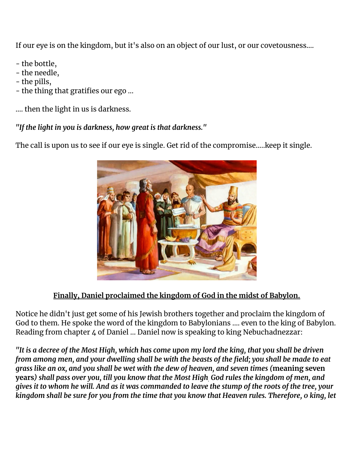If our eye is on the kingdom, but it's also on an object of our lust, or our covetousness….

- the bottle,
- the needle,
- the pills,
- the thing that gratifies our ego ...

.... then the light in us is darkness.

*"If the light in you is darkness, how great is that darkness."*

The call is upon us to see if our eye is single. Get rid of the compromise.....keep it single.



# **Finally, Daniel proclaimed the kingdom of God in the midst of Babylon.**

Notice he didn't just get some of his Jewish brothers together and proclaim the kingdom of God to them. He spoke the word of the kingdom to Babylonians .... even to the king of Babylon. Reading from chapter 4 of Daniel ... Daniel now is speaking to king Nebuchadnezzar:

"It is a decree of the Most High, which has come upon my lord the king, that you shall be driven from among men, and your dwelling shall be with the beasts of the field; you shall be made to eat grass like an ox, and you shall be wet with the dew of heaven, and seven times (meaning seven years) shall pass over you, till you know that the Most High God rules the kingdom of men, and gives it to whom he will. And as it was commanded to leave the stump of the roots of the tree, your kingdom shall be sure for you from the time that you know that Heaven rules. Therefore, o king, let